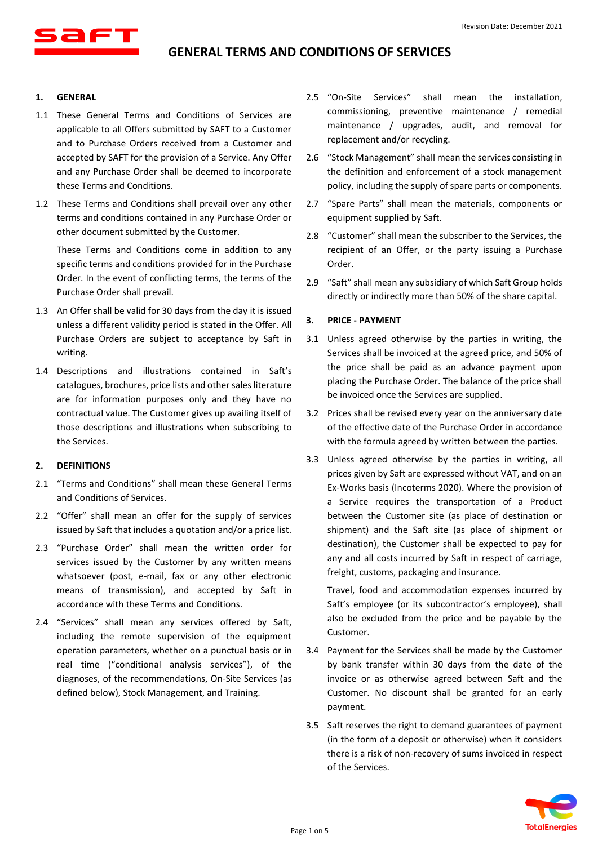

#### **1. GENERAL**

- 1.1 These General Terms and Conditions of Services are applicable to all Offers submitted by SAFT to a Customer and to Purchase Orders received from a Customer and accepted by SAFT for the provision of a Service. Any Offer and any Purchase Order shall be deemed to incorporate these Terms and Conditions.
- 1.2 These Terms and Conditions shall prevail over any other terms and conditions contained in any Purchase Order or other document submitted by the Customer.

These Terms and Conditions come in addition to any specific terms and conditions provided for in the Purchase Order. In the event of conflicting terms, the terms of the Purchase Order shall prevail.

- 1.3 An Offer shall be valid for 30 days from the day it is issued unless a different validity period is stated in the Offer. All Purchase Orders are subject to acceptance by Saft in writing.
- 1.4 Descriptions and illustrations contained in Saft's catalogues, brochures, price lists and other sales literature are for information purposes only and they have no contractual value. The Customer gives up availing itself of those descriptions and illustrations when subscribing to the Services.

### **2. DEFINITIONS**

- 2.1 "Terms and Conditions" shall mean these General Terms and Conditions of Services.
- 2.2 "Offer" shall mean an offer for the supply of services issued by Saft that includes a quotation and/or a price list.
- 2.3 "Purchase Order" shall mean the written order for services issued by the Customer by any written means whatsoever (post, e-mail, fax or any other electronic means of transmission), and accepted by Saft in accordance with these Terms and Conditions.
- 2.4 "Services" shall mean any services offered by Saft, including the remote supervision of the equipment operation parameters, whether on a punctual basis or in real time ("conditional analysis services"), of the diagnoses, of the recommendations, On-Site Services (as defined below), Stock Management, and Training.
- 2.5 "On-Site Services" shall mean the installation, commissioning, preventive maintenance / remedial maintenance / upgrades, audit, and removal for replacement and/or recycling.
- 2.6 "Stock Management" shall mean the services consisting in the definition and enforcement of a stock management policy, including the supply of spare parts or components.
- 2.7 "Spare Parts" shall mean the materials, components or equipment supplied by Saft.
- 2.8 "Customer" shall mean the subscriber to the Services, the recipient of an Offer, or the party issuing a Purchase Order.
- 2.9 "Saft" shall mean any subsidiary of which Saft Group holds directly or indirectly more than 50% of the share capital.

## **3. PRICE - PAYMENT**

- 3.1 Unless agreed otherwise by the parties in writing, the Services shall be invoiced at the agreed price, and 50% of the price shall be paid as an advance payment upon placing the Purchase Order. The balance of the price shall be invoiced once the Services are supplied.
- 3.2 Prices shall be revised every year on the anniversary date of the effective date of the Purchase Order in accordance with the formula agreed by written between the parties.
- 3.3 Unless agreed otherwise by the parties in writing, all prices given by Saft are expressed without VAT, and on an Ex-Works basis (Incoterms 2020). Where the provision of a Service requires the transportation of a Product between the Customer site (as place of destination or shipment) and the Saft site (as place of shipment or destination), the Customer shall be expected to pay for any and all costs incurred by Saft in respect of carriage, freight, customs, packaging and insurance.

Travel, food and accommodation expenses incurred by Saft's employee (or its subcontractor's employee), shall also be excluded from the price and be payable by the Customer.

- 3.4 Payment for the Services shall be made by the Customer by bank transfer within 30 days from the date of the invoice or as otherwise agreed between Saft and the Customer. No discount shall be granted for an early payment.
- 3.5 Saft reserves the right to demand guarantees of payment (in the form of a deposit or otherwise) when it considers there is a risk of non-recovery of sums invoiced in respect of the Services.

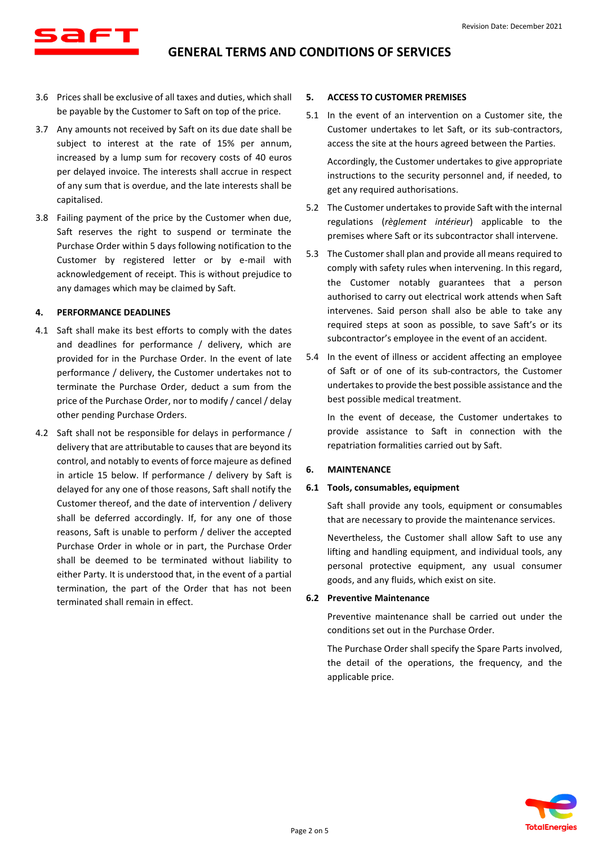- 3.6 Prices shall be exclusive of all taxes and duties, which shall be payable by the Customer to Saft on top of the price.
- 3.7 Any amounts not received by Saft on its due date shall be subject to interest at the rate of 15% per annum, increased by a lump sum for recovery costs of 40 euros per delayed invoice. The interests shall accrue in respect of any sum that is overdue, and the late interests shall be capitalised.
- 3.8 Failing payment of the price by the Customer when due, Saft reserves the right to suspend or terminate the Purchase Order within 5 days following notification to the Customer by registered letter or by e-mail with acknowledgement of receipt. This is without prejudice to any damages which may be claimed by Saft.

## **4. PERFORMANCE DEADLINES**

- 4.1 Saft shall make its best efforts to comply with the dates and deadlines for performance / delivery, which are provided for in the Purchase Order. In the event of late performance / delivery, the Customer undertakes not to terminate the Purchase Order, deduct a sum from the price of the Purchase Order, nor to modify / cancel / delay other pending Purchase Orders.
- <span id="page-1-0"></span>4.2 Saft shall not be responsible for delays in performance / delivery that are attributable to causes that are beyond its control, and notably to events of force majeure as defined in article [15](#page-4-0) below. If performance / delivery by Saft is delayed for any one of those reasons, Saft shall notify the Customer thereof, and the date of intervention / delivery shall be deferred accordingly. If, for any one of those reasons, Saft is unable to perform / deliver the accepted Purchase Order in whole or in part, the Purchase Order shall be deemed to be terminated without liability to either Party. It is understood that, in the event of a partial termination, the part of the Order that has not been terminated shall remain in effect.

### **5. ACCESS TO CUSTOMER PREMISES**

5.1 In the event of an intervention on a Customer site, the Customer undertakes to let Saft, or its sub-contractors, access the site at the hours agreed between the Parties.

Accordingly, the Customer undertakes to give appropriate instructions to the security personnel and, if needed, to get any required authorisations.

- 5.2 The Customer undertakes to provide Saft with the internal regulations (*règlement intérieur*) applicable to the premises where Saft or its subcontractor shall intervene.
- 5.3 The Customer shall plan and provide all means required to comply with safety rules when intervening. In this regard, the Customer notably guarantees that a person authorised to carry out electrical work attends when Saft intervenes. Said person shall also be able to take any required steps at soon as possible, to save Saft's or its subcontractor's employee in the event of an accident.
- 5.4 In the event of illness or accident affecting an employee of Saft or of one of its sub-contractors, the Customer undertakes to provide the best possible assistance and the best possible medical treatment.

In the event of decease, the Customer undertakes to provide assistance to Saft in connection with the repatriation formalities carried out by Saft.

### **6. MAINTENANCE**

### **6.1 Tools, consumables, equipment**

Saft shall provide any tools, equipment or consumables that are necessary to provide the maintenance services.

Nevertheless, the Customer shall allow Saft to use any lifting and handling equipment, and individual tools, any personal protective equipment, any usual consumer goods, and any fluids, which exist on site.

## **6.2 Preventive Maintenance**

Preventive maintenance shall be carried out under the conditions set out in the Purchase Order.

The Purchase Order shall specify the Spare Parts involved, the detail of the operations, the frequency, and the applicable price.

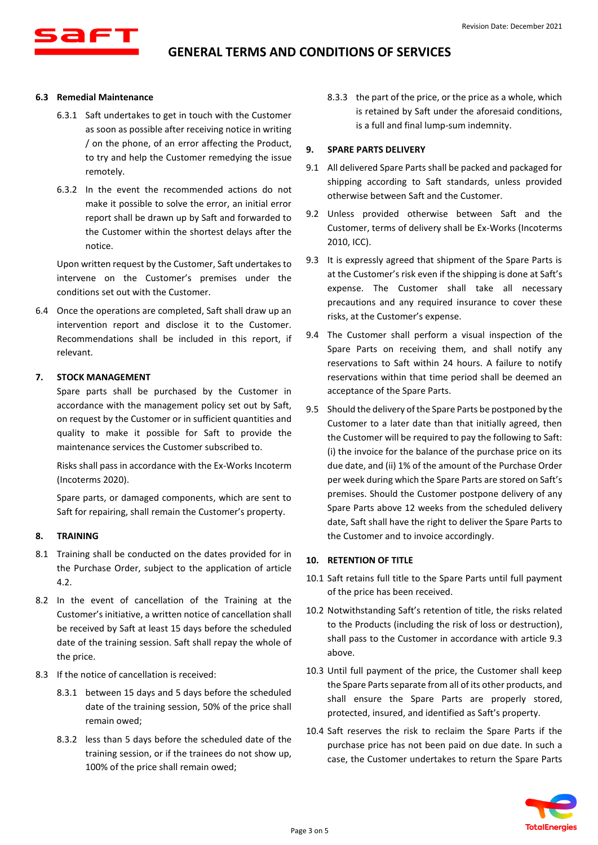

#### **6.3 Remedial Maintenance**

- 6.3.1 Saft undertakes to get in touch with the Customer as soon as possible after receiving notice in writing / on the phone, of an error affecting the Product, to try and help the Customer remedying the issue remotely.
- 6.3.2 In the event the recommended actions do not make it possible to solve the error, an initial error report shall be drawn up by Saft and forwarded to the Customer within the shortest delays after the notice.

Upon written request by the Customer, Saft undertakes to intervene on the Customer's premises under the conditions set out with the Customer.

6.4 Once the operations are completed, Saft shall draw up an intervention report and disclose it to the Customer. Recommendations shall be included in this report, if relevant.

#### **7. STOCK MANAGEMENT**

Spare parts shall be purchased by the Customer in accordance with the management policy set out by Saft, on request by the Customer or in sufficient quantities and quality to make it possible for Saft to provide the maintenance services the Customer subscribed to.

Risks shall pass in accordance with the Ex-Works Incoterm (Incoterms 2020).

Spare parts, or damaged components, which are sent to Saft for repairing, shall remain the Customer's property.

#### **8. TRAINING**

- 8.1 Training shall be conducted on the dates provided for in the Purchase Order, subject to the application of article [4.2.](#page-1-0)
- 8.2 In the event of cancellation of the Training at the Customer's initiative, a written notice of cancellation shall be received by Saft at least 15 days before the scheduled date of the training session. Saft shall repay the whole of the price.
- 8.3 If the notice of cancellation is received:
	- 8.3.1 between 15 days and 5 days before the scheduled date of the training session, 50% of the price shall remain owed;
	- 8.3.2 less than 5 days before the scheduled date of the training session, or if the trainees do not show up, 100% of the price shall remain owed;

8.3.3 the part of the price, or the price as a whole, which is retained by Saft under the aforesaid conditions, is a full and final lump-sum indemnity.

#### **9. SPARE PARTS DELIVERY**

- 9.1 All delivered Spare Parts shall be packed and packaged for shipping according to Saft standards, unless provided otherwise between Saft and the Customer.
- 9.2 Unless provided otherwise between Saft and the Customer, terms of delivery shall be Ex-Works (Incoterms 2010, ICC).
- <span id="page-2-0"></span>9.3 It is expressly agreed that shipment of the Spare Parts is at the Customer's risk even if the shipping is done at Saft's expense. The Customer shall take all necessary precautions and any required insurance to cover these risks, at the Customer's expense.
- 9.4 The Customer shall perform a visual inspection of the Spare Parts on receiving them, and shall notify any reservations to Saft within 24 hours. A failure to notify reservations within that time period shall be deemed an acceptance of the Spare Parts.
- 9.5 Should the delivery of the Spare Parts be postponed by the Customer to a later date than that initially agreed, then the Customer will be required to pay the following to Saft: (i) the invoice for the balance of the purchase price on its due date, and (ii) 1% of the amount of the Purchase Order per week during which the Spare Parts are stored on Saft's premises. Should the Customer postpone delivery of any Spare Parts above 12 weeks from the scheduled delivery date, Saft shall have the right to deliver the Spare Parts to the Customer and to invoice accordingly.

### **10. RETENTION OF TITLE**

- 10.1 Saft retains full title to the Spare Parts until full payment of the price has been received.
- 10.2 Notwithstanding Saft's retention of title, the risks related to the Products (including the risk of loss or destruction), shall pass to the Customer in accordance with article [9.3](#page-2-0) above.
- 10.3 Until full payment of the price, the Customer shall keep the Spare Parts separate from all of its other products, and shall ensure the Spare Parts are properly stored, protected, insured, and identified as Saft's property.
- 10.4 Saft reserves the risk to reclaim the Spare Parts if the purchase price has not been paid on due date. In such a case, the Customer undertakes to return the Spare Parts

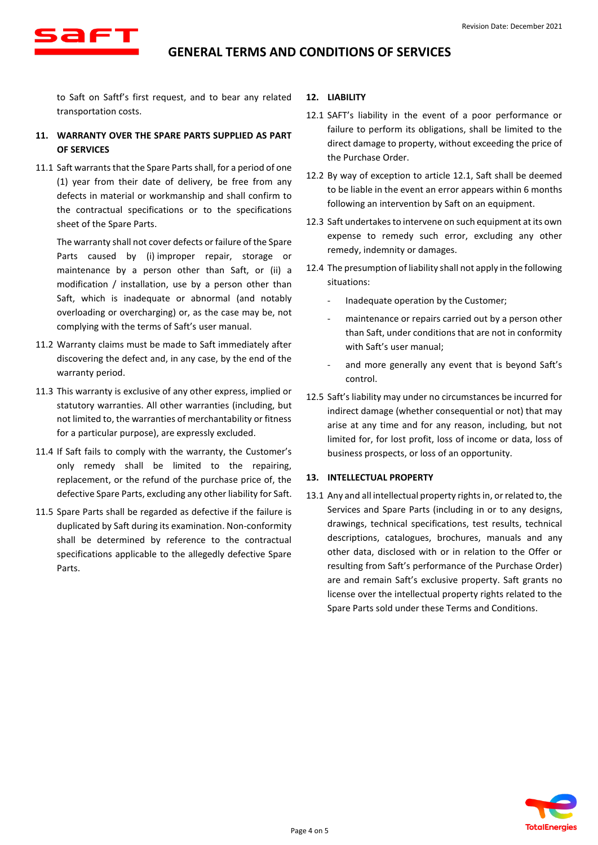

to Saft on Saftf's first request, and to bear any related transportation costs.

- **11. WARRANTY OVER THE SPARE PARTS SUPPLIED AS PART OF SERVICES**
- 11.1 Saft warrants that the Spare Parts shall, for a period of one (1) year from their date of delivery, be free from any defects in material or workmanship and shall confirm to the contractual specifications or to the specifications sheet of the Spare Parts.

The warranty shall not cover defects or failure of the Spare Parts caused by (i) improper repair, storage or maintenance by a person other than Saft, or (ii) a modification / installation, use by a person other than Saft, which is inadequate or abnormal (and notably overloading or overcharging) or, as the case may be, not complying with the terms of Saft's user manual.

- 11.2 Warranty claims must be made to Saft immediately after discovering the defect and, in any case, by the end of the warranty period.
- 11.3 This warranty is exclusive of any other express, implied or statutory warranties. All other warranties (including, but not limited to, the warranties of merchantability or fitness for a particular purpose), are expressly excluded.
- 11.4 If Saft fails to comply with the warranty, the Customer's only remedy shall be limited to the repairing, replacement, or the refund of the purchase price of, the defective Spare Parts, excluding any other liability for Saft.
- 11.5 Spare Parts shall be regarded as defective if the failure is duplicated by Saft during its examination. Non-conformity shall be determined by reference to the contractual specifications applicable to the allegedly defective Spare Parts.

#### **12. LIABILITY**

- <span id="page-3-0"></span>12.1 SAFT's liability in the event of a poor performance or failure to perform its obligations, shall be limited to the direct damage to property, without exceeding the price of the Purchase Order.
- 12.2 By way of exception to article [12.1,](#page-3-0) Saft shall be deemed to be liable in the event an error appears within 6 months following an intervention by Saft on an equipment.
- 12.3 Saft undertakes to intervene on such equipment at its own expense to remedy such error, excluding any other remedy, indemnity or damages.
- 12.4 The presumption of liability shall not apply in the following situations:
	- Inadequate operation by the Customer;
	- maintenance or repairs carried out by a person other than Saft, under conditions that are not in conformity with Saft's user manual;
	- and more generally any event that is beyond Saft's control.
- 12.5 Saft's liability may under no circumstances be incurred for indirect damage (whether consequential or not) that may arise at any time and for any reason, including, but not limited for, for lost profit, loss of income or data, loss of business prospects, or loss of an opportunity.

### **13. INTELLECTUAL PROPERTY**

<span id="page-3-1"></span>13.1 Any and all intellectual property rights in, or related to, the Services and Spare Parts (including in or to any designs, drawings, technical specifications, test results, technical descriptions, catalogues, brochures, manuals and any other data, disclosed with or in relation to the Offer or resulting from Saft's performance of the Purchase Order) are and remain Saft's exclusive property. Saft grants no license over the intellectual property rights related to the Spare Parts sold under these Terms and Conditions.